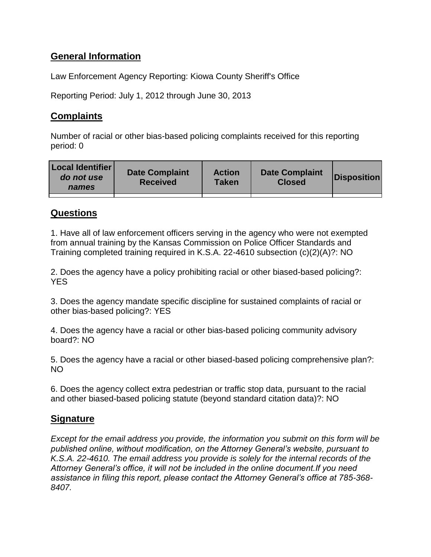# **General Information**

Law Enforcement Agency Reporting: Kiowa County Sheriff's Office

Reporting Period: July 1, 2012 through June 30, 2013

## **Complaints**

Number of racial or other bias-based policing complaints received for this reporting period: 0

| <b>Local Identifier</b><br>do not use<br>names | <b>Date Complaint</b><br><b>Received</b> | <b>Action</b><br>Taken | <b>Date Complaint</b><br><b>Closed</b> | Disposition |
|------------------------------------------------|------------------------------------------|------------------------|----------------------------------------|-------------|
|                                                |                                          |                        |                                        |             |

### **Questions**

1. Have all of law enforcement officers serving in the agency who were not exempted from annual training by the Kansas Commission on Police Officer Standards and Training completed training required in K.S.A. 22-4610 subsection (c)(2)(A)?: NO

2. Does the agency have a policy prohibiting racial or other biased-based policing?: **YES** 

3. Does the agency mandate specific discipline for sustained complaints of racial or other bias-based policing?: YES

4. Does the agency have a racial or other bias-based policing community advisory board?: NO

5. Does the agency have a racial or other biased-based policing comprehensive plan?: NO

6. Does the agency collect extra pedestrian or traffic stop data, pursuant to the racial and other biased-based policing statute (beyond standard citation data)?: NO

### **Signature**

*Except for the email address you provide, the information you submit on this form will be published online, without modification, on the Attorney General's website, pursuant to K.S.A. 22-4610. The email address you provide is solely for the internal records of the Attorney General's office, it will not be included in the online document.If you need assistance in filing this report, please contact the Attorney General's office at 785-368- 8407.*